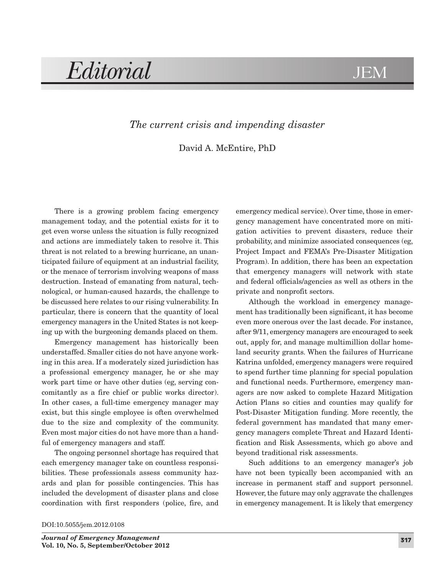*Editorial* JEM

## *The current crisis and impending disaster*

David A. McEntire, PhD

There is a growing problem facing emergency management today, and the potential exists for it to get even worse unless the situation is fully recognized and actions are immediately taken to resolve it. This threat is not related to a brewing hurricane, an unanticipated failure of equipment at an industrial facility, or the menace of terrorism involving weapons of mass destruction. Instead of emanating from natural, technological, or human-caused hazards, the challenge to be discussed here relates to our rising vulnerability. In particular, there is concern that the quantity of local emergency managers in the United States is not keeping up with the burgeoning demands placed on them.

Emergency management has historically been understaffed. Smaller cities do not have anyone working in this area. If a moderately sized jurisdiction has a professional emergency manager, he or she may work part time or have other duties (eg, serving concomitantly as a fire chief or public works director). In other cases, a full-time emergency manager may exist, but this single employee is often overwhelmed due to the size and complexity of the community. Even most major cities do not have more than a handful of emergency managers and staff.

The ongoing personnel shortage has required that each emergency manager take on countless responsibilities. These professionals assess community hazards and plan for possible contingencies. This has included the development of disaster plans and close coordination with first responders (police, fire, and

emergency medical service). Over time, those in emergency management have concentrated more on mitigation activities to prevent disasters, reduce their probability, and minimize associated consequences (eg, Project Impact and FEMA's Pre-Disaster Mitigation Program). In addition, there has been an expectation that emergency managers will network with state and federal officials/agencies as well as others in the private and nonprofit sectors.

Although the workload in emergency management has traditionally been significant, it has become even more onerous over the last decade. For instance, after 9/11, emergency managers are encouraged to seek out, apply for, and manage multimillion dollar homeland security grants. When the failures of Hurricane Katrina unfolded, emergency managers were required to spend further time planning for special population and functional needs. Furthermore, emergency managers are now asked to complete Hazard Mitigation Action Plans so cities and counties may qualify for Post-Disaster Mitigation funding. More recently, the federal government has mandated that many emergency managers complete Threat and Hazard Identification and Risk Assessments, which go above and beyond traditional risk assessments.

Such additions to an emergency manager's job have not been typically been accompanied with an increase in permanent staff and support personnel. However, the future may only aggravate the challenges in emergency management. It is likely that emergency